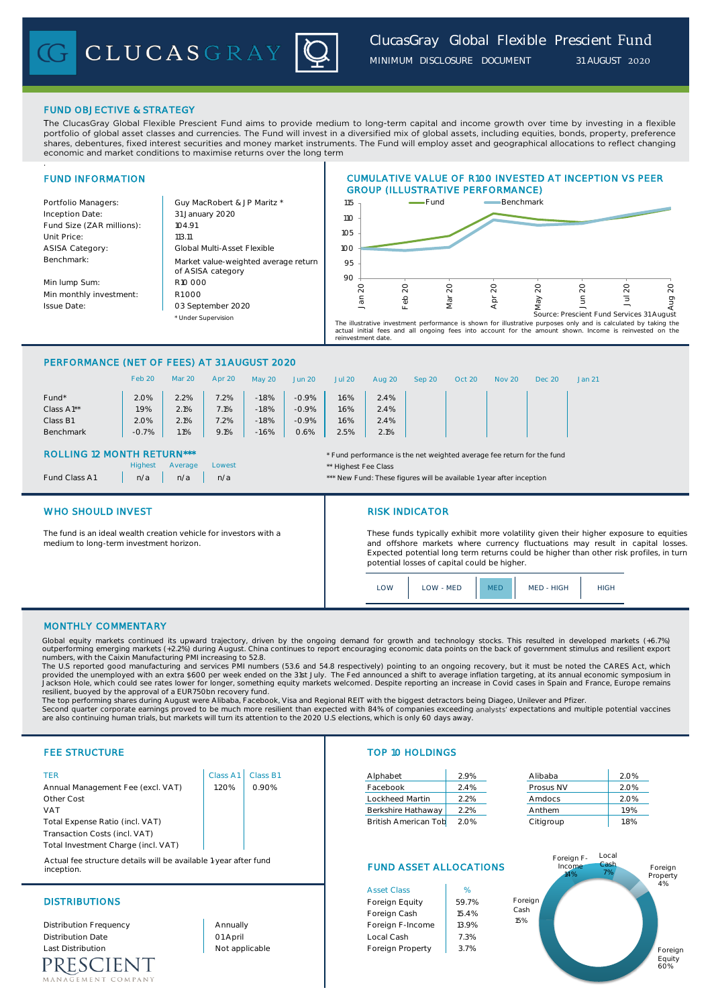

## FUND OBJECTIVE & STRATEGY

.

The ClucasGray Global Flexible Prescient Fund aims to provide medium to long-term capital and income growth over time by investing in a flexible portfolio of global asset classes and currencies. The Fund will invest in a diversified mix of global assets, including equities, bonds, property, preference shares, debentures, fixed interest securities and money market instruments. The Fund will employ asset and geographical allocations to reflect changing economic and market conditions to maximise returns over the long term

## FUND INFORMATION Portfolio Managers: Guy MacRobert & JP Maritz \* Inception Date: Fund Size (ZAR millions): | 104.91 Unit Price: 113.11 ASISA Category: Benchmark: Min lump Sum: Min monthly investment: Issue Date: \* Under Supervision Global Multi-Asset Flexible R10 000 R1 000 CUMULATIVE VALUE OF R100 INVESTED AT INCEPTION VS PEER GROUP (ILLUSTRATIVE PERFORMANCE) Market value-weighted average return of ASISA category 03 September 2020 31 January 2020 90 95 100 105 110 115 Jan 20 Feb 20 Mar 20 Apr 20 May 20 Jun 20 Jul 20 Aug 20 Fund **Benchmark** The illustrative investment performance is shown for illustrative purposes only and is calculated by taking the<br>actual initial fees and all ongoing fees into account for the amount shown. Income is reinvested on the<br>reinve Source: Prescient Fund Services 31 August

## PERFORMANCE (NET OF FEES) AT 31 AUGUST 2020

|            | Feb 20  | Mar 20  | Apr 20 | May 20  | Jun 20  | <b>Jul 20</b> | Aug 20 | Sep 20 | Oct 20 | Nov 20 | Dec 20 | Jan 21 |
|------------|---------|---------|--------|---------|---------|---------------|--------|--------|--------|--------|--------|--------|
| Fund*      | 2.0%    | 2.2%    | 7.2%   | $-1.8%$ | $-0.9%$ | 1.6%          | 2.4%   |        |        |        |        |        |
| Class A1** | $1.9\%$ | 2.1%    | 7.1%   | $-1.8%$ | $-0.9%$ | 1.6%          | 2.4%   |        |        |        |        |        |
| Class B1   | 2.0%    | 2.1%    | 7.2%   | $-1.8%$ | $-0.9%$ | 1.6%          | 2.4%   |        |        |        |        |        |
| Benchmark  | $-0.7%$ | $1.1\%$ | 9.1%   | $-1.6%$ | 0.6%    | 2.5%          | 2.1%   |        |        |        |        |        |
|            |         |         |        |         |         |               |        |        |        |        |        |        |

n/a n/a n/a n/a n/a  $\cdot$  n/a  $\cdot$  n/a  $\cdot$  n/a  $\cdot$  n/a  $\cdot$  n/a  $\cdot$  n/a  $\cdot$  n/a  $\cdot$  n/a  $\cdot$  n/a  $\cdot$  n/a  $\cdot$  n/a  $\cdot$  n/a  $\cdot$  n/a  $\cdot$  n/a  $\cdot$  n/a  $\cdot$  n/a  $\cdot$  n/a  $\cdot$  n/a  $\cdot$  n/a  $\cdot$  n/a  $\cdot$  n/a  $\cdot$  n/a  $\cdot$ 

Lowest **Lowest Average Lowest Average Lowest Average Average Average Average Average Average Average Average Ave** 

## ROLLING 12 MONTH RETURN\*\*\* THE STATE THE STATE THAT THE STATE OF THE THE THE THE FUND THAT THE FUND THE FUND THE FUND THE FUND THE FUND THE FUND THE FUND THE FUND THE STATE OF THE STATE OF THE STATE OF THE STATE OF THE STA

|               | Highes |
|---------------|--------|
| Fund Class A1 | n/a    |

## WHO SHOULD INVEST **RISK INDICATOR**

The fund is an ideal wealth creation vehicle for investors with a medium to long-term investment horizon.

These funds typically exhibit more volatility given their higher exposure to equities and offshore markets where currency fluctuations may result in capital losses. Expected potential long term returns could be higher than other risk profiles, in turn potential losses of capital could be higher.



## MONTHLY COMMENTARY

Global equity markets continued its upward trajectory, driven by the ongoing demand for growth and technology stocks. This resulted in developed markets (+6.7%) outperforming emerging markets (+2.2%) during August. China continues to report encouraging economic data points on the back of government stimulus and resilient export<br>numbers, with the Caixin Manufacturing PMI increasing

The U.S reported good manufacturing and services PMI numbers (53.6 and 54.8 respectively) pointing to an ongoing recovery, but it must be noted the CARES Act, which<br>provided the unemployed with an extra \$600 per week ended Jackson Hole, which could see rates lower for longer, something equity markets welcomed. Despite reporting an increase in Covid cases in Spain and France, Europe remains resilient, buoyed by the approval of a EUR750bn recovery fund.

The top performing shares during August were Alibaba, Facebook, Visa and Regional REIT with the biggest detractors being Diageo, Unilever and Pfizer.

Second quarter corporate earnings proved to be much more resilient than expected with 84% of companies exceeding analysts' expectations and multiple potential vaccines<br>are also continuing human trials, but markets will tur

| TFR                                 | Class A1 | Class B |
|-------------------------------------|----------|---------|
| Annual Management Fee (excl. VAT)   | 1.20%    | 0.90%   |
| Other Cost                          |          |         |
| <b>VAT</b>                          |          |         |
| Total Expense Ratio (incl. VAT)     |          |         |
| Transaction Costs (incl. VAT)       |          |         |
| Total Investment Charge (incl. VAT) |          |         |

Actual fee structure details will be available 1-year after fund inception.

RESCIENT MENT COMPANY

## FEE STRUCTURE TOP 10 HOLDINGS

| TER                               |      | Class A1   Class B1 | Alphabet        |                      | 2.9%    | Alibaba   | 2.0% |
|-----------------------------------|------|---------------------|-----------------|----------------------|---------|-----------|------|
| Annual Management Fee (excl. VAT) | .20% | 0.90%               | Facebook        |                      | $2.4\%$ | Prosus NV | 2.0% |
| Other Cost                        |      |                     | Lockheed Martin |                      | 2.2%    | Amdocs    | 2.0% |
| VAT                               |      |                     |                 | Berkshire Hathaway   | 2.2%    | Anthem    | 1.9% |
| Total Expense Ratio (incl. VAT)   |      |                     |                 | British American Tob | 2.0%    | Citigroup | 1.8% |

# FUND ASSET ALLOCATIONS

|                          |                | <b>Asset Class</b> | %     |
|--------------------------|----------------|--------------------|-------|
| <b>DISTRIBUTIONS</b>     | Foreign Equity | 59.7%              |       |
|                          |                | Foreign Cash       | 15.4% |
| Distribution Frequency   | Annually       | Foreign F-Income   | 13.9% |
| <b>Distribution Date</b> | 01 April       | Local Cash         | 7.3%  |
| <b>Last Distribution</b> | Not applicable | Foreign Property   | 3.7%  |